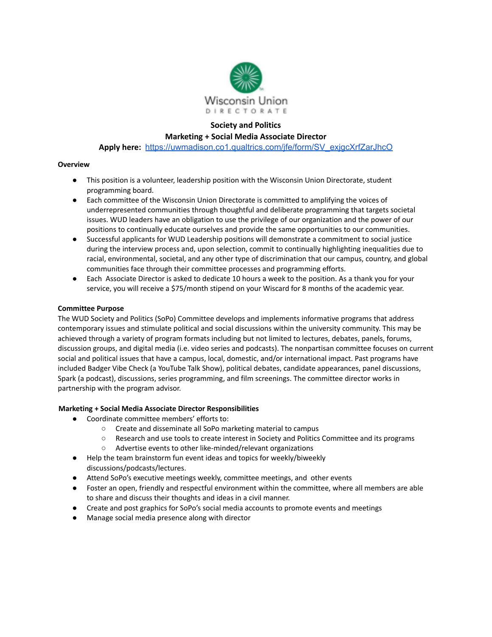

# **Society and Politics**

## **Marketing + Social Media Associate Director**

**Apply here:** [https://uwmadison.co1.qualtrics.com/jfe/form/SV\\_exjgcXrfZarJhcO](https://uwmadison.co1.qualtrics.com/jfe/form/SV_exjgcXrfZarJhcO)

## **Overview**

- This position is a volunteer, leadership position with the Wisconsin Union Directorate, student programming board.
- Each committee of the Wisconsin Union Directorate is committed to amplifying the voices of underrepresented communities through thoughtful and deliberate programming that targets societal issues. WUD leaders have an obligation to use the privilege of our organization and the power of our positions to continually educate ourselves and provide the same opportunities to our communities.
- Successful applicants for WUD Leadership positions will demonstrate a commitment to social justice during the interview process and, upon selection, commit to continually highlighting inequalities due to racial, environmental, societal, and any other type of discrimination that our campus, country, and global communities face through their committee processes and programming efforts.
- Each Associate Director is asked to dedicate 10 hours a week to the position. As a thank you for your service, you will receive a \$75/month stipend on your Wiscard for 8 months of the academic year.

#### **Committee Purpose**

The WUD Society and Politics (SoPo) Committee develops and implements informative programs that address contemporary issues and stimulate political and social discussions within the university community. This may be achieved through a variety of program formats including but not limited to lectures, debates, panels, forums, discussion groups, and digital media (i.e. video series and podcasts). The nonpartisan committee focuses on current social and political issues that have a campus, local, domestic, and/or international impact. Past programs have included Badger Vibe Check (a YouTube Talk Show), political debates, candidate appearances, panel discussions, Spark (a podcast), discussions, series programming, and film screenings. The committee director works in partnership with the program advisor.

# **Marketing + Social Media Associate Director Responsibilities**

- Coordinate committee members' efforts to:
	- Create and disseminate all SoPo marketing material to campus
	- Research and use tools to create interest in Society and Politics Committee and its programs
	- Advertise events to other like-minded/relevant organizations
- Help the team brainstorm fun event ideas and topics for weekly/biweekly discussions/podcasts/lectures.
- Attend SoPo's executive meetings weekly, committee meetings, and other events
- Foster an open, friendly and respectful environment within the committee, where all members are able to share and discuss their thoughts and ideas in a civil manner.
- Create and post graphics for SoPo's social media accounts to promote events and meetings
- Manage social media presence along with director